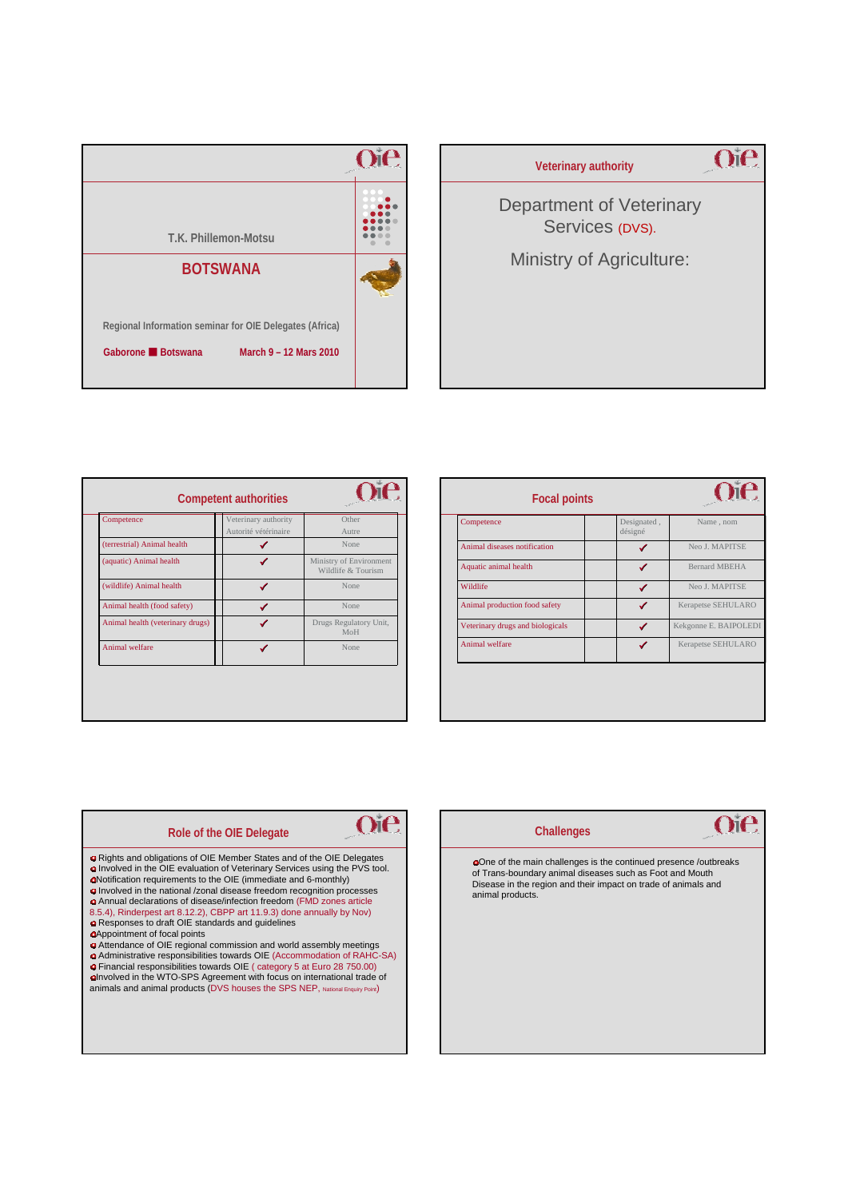

| <b>Veterinary authority</b>                 |  |
|---------------------------------------------|--|
| Department of Veterinary<br>Services (DVS). |  |
| <b>Ministry of Agriculture:</b>             |  |
|                                             |  |
|                                             |  |

| Competence                       | Veterinary authority | Other                                         |
|----------------------------------|----------------------|-----------------------------------------------|
|                                  | Autorité vétérinaire | Autre                                         |
| (terrestrial) Animal health      |                      | None                                          |
| (aquatic) Animal health          |                      | Ministry of Environment<br>Wildlife & Tourism |
| (wildlife) Animal health         |                      | None                                          |
| Animal health (food safety)      |                      | None                                          |
| Animal health (veterinary drugs) |                      | Drugs Regulatory Unit,<br>MoH                 |
| Animal welfare                   |                      | None                                          |
|                                  |                      |                                               |

| <b>Focal points</b>              |                        |                       |  |
|----------------------------------|------------------------|-----------------------|--|
| Competence                       | Designated,<br>désigné | Name, nom             |  |
| Animal diseases notification     | ✔                      | Neo J. MAPITSE        |  |
| Aquatic animal health            |                        | <b>Bernard MBEHA</b>  |  |
| Wildlife                         | ✔                      | Neo J. MAPITSE        |  |
| Animal production food safety    | ✔                      | Kerapetse SEHULARO    |  |
| Veterinary drugs and biologicals |                        | Kekgonne E. BAIPOLEDI |  |
| Animal welfare                   |                        | Kerapetse SEHULARO    |  |
|                                  |                        |                       |  |